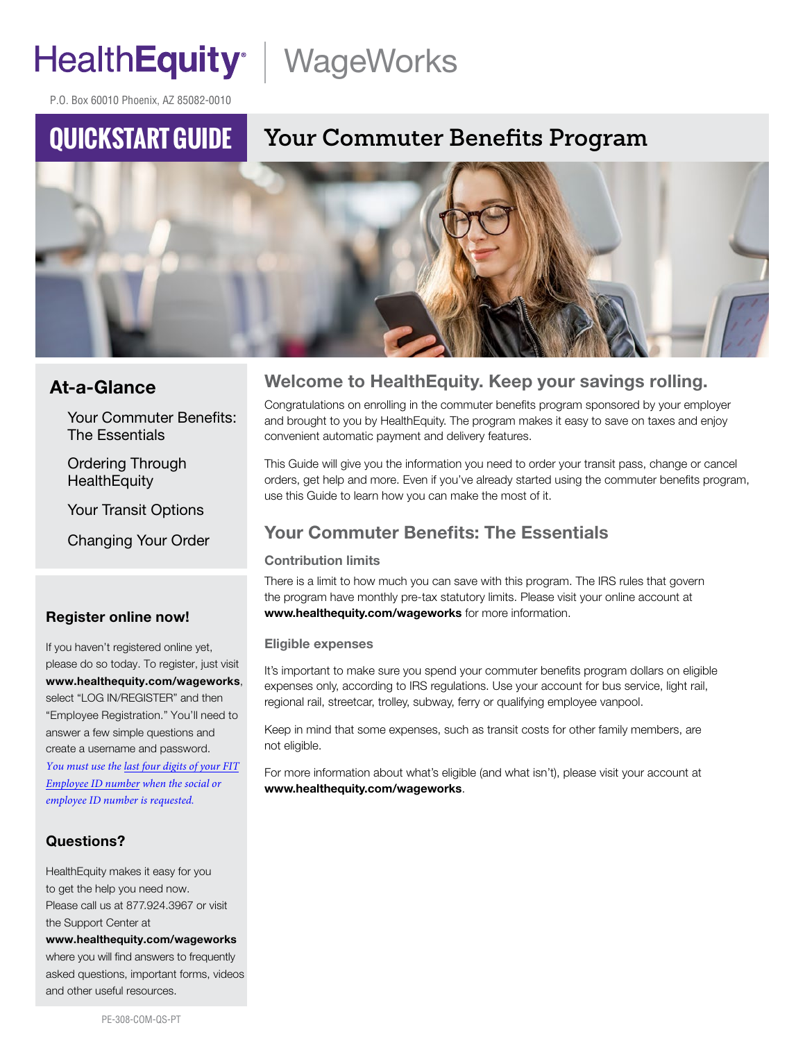# HealthEquity | WageWorks

P.O. Box 60010 Phoenix, AZ 85082-0010

## **QUICKSTART GUIDE**

## **Your Commuter Benefits Program**



### At-a-Glance

Your Commuter Benefits: The Essentials

Ordering Through **HealthEquity** 

Your Transit Options

Changing Your Order

#### Register online now!

If you haven't registered online yet, please do so today. To register, just visit www.healthequity.com/wageworks, select "LOG IN/REGISTER" and then "Employee Registration." You'll need to answer a few simple questions and create a username and password. *You must use the last four digits of your FIT Employee ID number when the social or employee ID number is requested.*

#### Questions?

HealthEquity makes it easy for you to get the help you need now. Please call us at 877.924.3967 or visit the Support Center at www.healthequity.com/wageworks where you will find answers to frequently asked questions, important forms, videos and other useful resources.

### Welcome to HealthEquity. Keep your savings rolling.

Congratulations on enrolling in the commuter benefits program sponsored by your employer and brought to you by HealthEquity. The program makes it easy to save on taxes and enjoy convenient automatic payment and delivery features.

This Guide will give you the information you need to order your transit pass, change or cancel orders, get help and more. Even if you've already started using the commuter benefits program, use this Guide to learn how you can make the most of it.

### Your Commuter Benefits: The Essentials

#### Contribution limits

There is a limit to how much you can save with this program. The IRS rules that govern the program have monthly pre-tax statutory limits. Please visit your online account at www.healthequity.com/wageworks for more information.

#### Eligible expenses

It's important to make sure you spend your commuter benefits program dollars on eligible expenses only, according to IRS regulations. Use your account for bus service, light rail, regional rail, streetcar, trolley, subway, ferry or qualifying employee vanpool.

Keep in mind that some expenses, such as transit costs for other family members, are not eligible.

For more information about what's eligible (and what isn't), please visit your account at www.healthequity.com/wageworks.